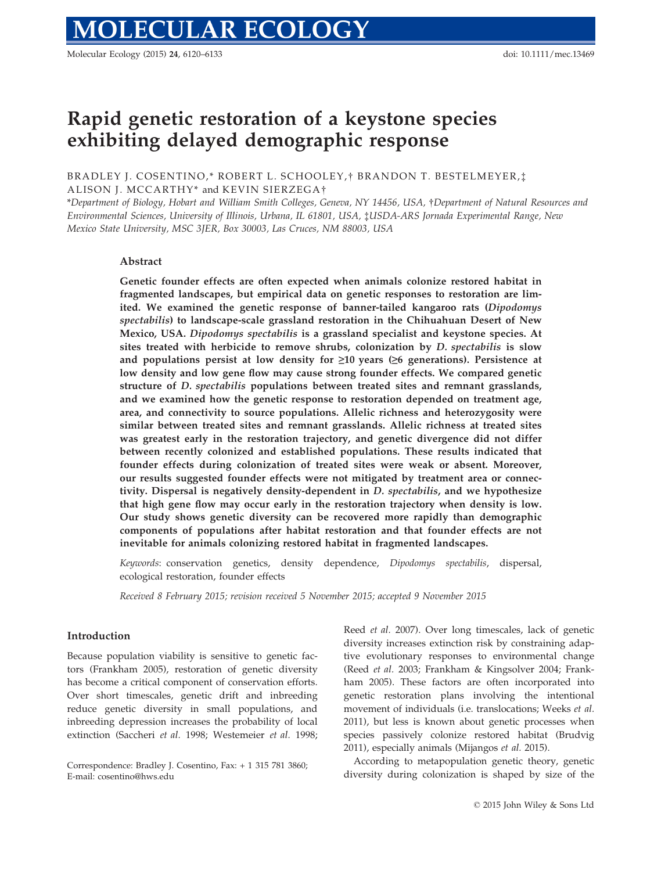Molecular Ecology (2015) 24, 6120–6133 doi: 10.1111/mec.13469

# Rapid genetic restoration of a keystone species exhibiting delayed demographic response

# BRADLEY J. COSENTINO,\* ROBERT L. SCHOOLEY,† BRANDON T. BESTELMEYER,‡ ALISON J. MCCARTHY\* and KEVIN SIERZEGA†

\*Department of Biology, Hobart and William Smith Colleges, Geneva, NY 14456, USA, †Department of Natural Resources and Environmental Sciences, University of Illinois, Urbana, IL 61801, USA, ‡USDA-ARS Jornada Experimental Range, New Mexico State University, MSC 3JER, Box 30003, Las Cruces, NM 88003, USA

# Abstract

Genetic founder effects are often expected when animals colonize restored habitat in fragmented landscapes, but empirical data on genetic responses to restoration are limited. We examined the genetic response of banner-tailed kangaroo rats (Dipodomys spectabilis) to landscape-scale grassland restoration in the Chihuahuan Desert of New Mexico, USA. Dipodomys spectabilis is a grassland specialist and keystone species. At sites treated with herbicide to remove shrubs, colonization by D. spectabilis is slow and populations persist at low density for  $\geq 10$  years ( $\geq 6$  generations). Persistence at low density and low gene flow may cause strong founder effects. We compared genetic structure of D. spectabilis populations between treated sites and remnant grasslands, and we examined how the genetic response to restoration depended on treatment age, area, and connectivity to source populations. Allelic richness and heterozygosity were similar between treated sites and remnant grasslands. Allelic richness at treated sites was greatest early in the restoration trajectory, and genetic divergence did not differ between recently colonized and established populations. These results indicated that founder effects during colonization of treated sites were weak or absent. Moreover, our results suggested founder effects were not mitigated by treatment area or connectivity. Dispersal is negatively density-dependent in D. spectabilis, and we hypothesize that high gene flow may occur early in the restoration trajectory when density is low. Our study shows genetic diversity can be recovered more rapidly than demographic components of populations after habitat restoration and that founder effects are not inevitable for animals colonizing restored habitat in fragmented landscapes.

Keywords: conservation genetics, density dependence, Dipodomys spectabilis, dispersal, ecological restoration, founder effects

Received 8 February 2015; revision received 5 November 2015; accepted 9 November 2015

#### Introduction

Because population viability is sensitive to genetic factors (Frankham 2005), restoration of genetic diversity has become a critical component of conservation efforts. Over short timescales, genetic drift and inbreeding reduce genetic diversity in small populations, and inbreeding depression increases the probability of local extinction (Saccheri et al. 1998; Westemeier et al. 1998;

E-mail: cosentino@hws.edu

Reed et al. 2007). Over long timescales, lack of genetic diversity increases extinction risk by constraining adaptive evolutionary responses to environmental change (Reed et al. 2003; Frankham & Kingsolver 2004; Frankham 2005). These factors are often incorporated into genetic restoration plans involving the intentional movement of individuals (i.e. translocations; Weeks et al. 2011), but less is known about genetic processes when species passively colonize restored habitat (Brudvig 2011), especially animals (Mijangos et al. 2015).

According to metapopulation genetic theory, genetic Correspondence: Bradley J. Cosentino, Fax: + 1 315 781 3860;<br>
E-mail: cosentino@hws.edu diversity during colonization is shaped by size of the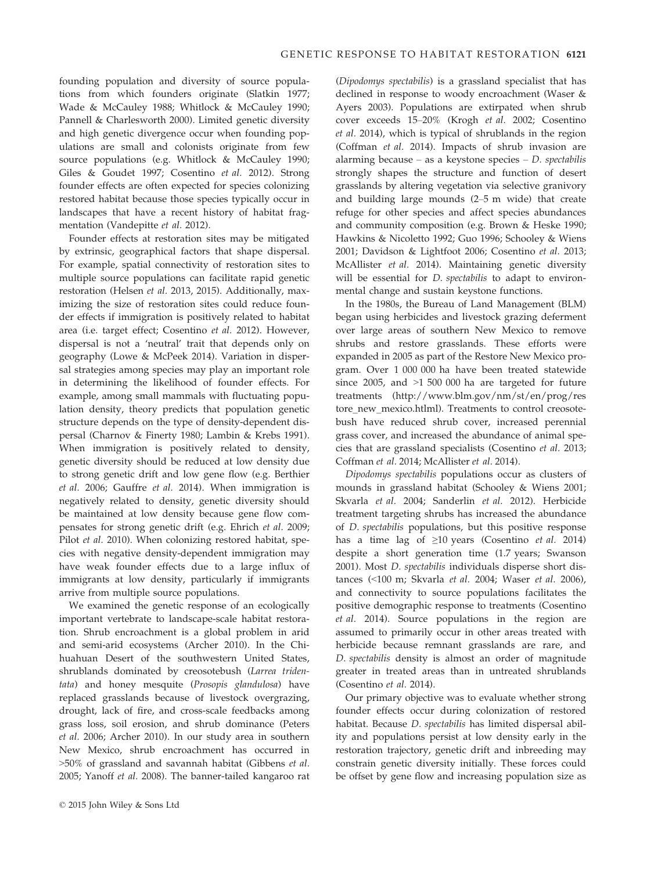founding population and diversity of source populations from which founders originate (Slatkin 1977; Wade & McCauley 1988; Whitlock & McCauley 1990; Pannell & Charlesworth 2000). Limited genetic diversity and high genetic divergence occur when founding populations are small and colonists originate from few source populations (e.g. Whitlock & McCauley 1990; Giles & Goudet 1997; Cosentino et al. 2012). Strong founder effects are often expected for species colonizing restored habitat because those species typically occur in landscapes that have a recent history of habitat fragmentation (Vandepitte et al. 2012).

Founder effects at restoration sites may be mitigated by extrinsic, geographical factors that shape dispersal. For example, spatial connectivity of restoration sites to multiple source populations can facilitate rapid genetic restoration (Helsen et al. 2013, 2015). Additionally, maximizing the size of restoration sites could reduce founder effects if immigration is positively related to habitat area (i.e. target effect; Cosentino et al. 2012). However, dispersal is not a 'neutral' trait that depends only on geography (Lowe & McPeek 2014). Variation in dispersal strategies among species may play an important role in determining the likelihood of founder effects. For example, among small mammals with fluctuating population density, theory predicts that population genetic structure depends on the type of density-dependent dispersal (Charnov & Finerty 1980; Lambin & Krebs 1991). When immigration is positively related to density, genetic diversity should be reduced at low density due to strong genetic drift and low gene flow (e.g. Berthier et al. 2006; Gauffre et al. 2014). When immigration is negatively related to density, genetic diversity should be maintained at low density because gene flow compensates for strong genetic drift (e.g. Ehrich et al. 2009; Pilot et al. 2010). When colonizing restored habitat, species with negative density-dependent immigration may have weak founder effects due to a large influx of immigrants at low density, particularly if immigrants arrive from multiple source populations.

We examined the genetic response of an ecologically important vertebrate to landscape-scale habitat restoration. Shrub encroachment is a global problem in arid and semi-arid ecosystems (Archer 2010). In the Chihuahuan Desert of the southwestern United States, shrublands dominated by creosotebush (Larrea tridentata) and honey mesquite (Prosopis glandulosa) have replaced grasslands because of livestock overgrazing, drought, lack of fire, and cross-scale feedbacks among grass loss, soil erosion, and shrub dominance (Peters et al. 2006; Archer 2010). In our study area in southern New Mexico, shrub encroachment has occurred in >50% of grassland and savannah habitat (Gibbens et al. 2005; Yanoff et al. 2008). The banner-tailed kangaroo rat (Dipodomys spectabilis) is a grassland specialist that has declined in response to woody encroachment (Waser & Ayers 2003). Populations are extirpated when shrub cover exceeds 15–20% (Krogh et al. 2002; Cosentino et al. 2014), which is typical of shrublands in the region (Coffman et al. 2014). Impacts of shrub invasion are alarming because – as a keystone species –  $D$ . spectabilis strongly shapes the structure and function of desert grasslands by altering vegetation via selective granivory and building large mounds (2–5 m wide) that create refuge for other species and affect species abundances and community composition (e.g. Brown & Heske 1990; Hawkins & Nicoletto 1992; Guo 1996; Schooley & Wiens 2001; Davidson & Lightfoot 2006; Cosentino et al. 2013; McAllister et al. 2014). Maintaining genetic diversity will be essential for *D. spectabilis* to adapt to environmental change and sustain keystone functions.

In the 1980s, the Bureau of Land Management (BLM) began using herbicides and livestock grazing deferment over large areas of southern New Mexico to remove shrubs and restore grasslands. These efforts were expanded in 2005 as part of the Restore New Mexico program. Over 1 000 000 ha have been treated statewide since 2005, and >1 500 000 ha are targeted for future treatments [\(http://www.blm.gov/nm/st/en/prog/res](http://www.blm.gov/nm/st/en/prog/restore_new_mexico.htlml) [tore\\_new\\_mexico.htlml](http://www.blm.gov/nm/st/en/prog/restore_new_mexico.htlml)). Treatments to control creosotebush have reduced shrub cover, increased perennial grass cover, and increased the abundance of animal species that are grassland specialists (Cosentino et al. 2013; Coffman et al. 2014; McAllister et al. 2014).

Dipodomys spectabilis populations occur as clusters of mounds in grassland habitat (Schooley & Wiens 2001; Skvarla et al. 2004; Sanderlin et al. 2012). Herbicide treatment targeting shrubs has increased the abundance of D. spectabilis populations, but this positive response has a time lag of  $\geq 10$  years (Cosentino et al. 2014) despite a short generation time (1.7 years; Swanson 2001). Most D. spectabilis individuals disperse short distances (<100 m; Skvarla et al. 2004; Waser et al. 2006), and connectivity to source populations facilitates the positive demographic response to treatments (Cosentino et al. 2014). Source populations in the region are assumed to primarily occur in other areas treated with herbicide because remnant grasslands are rare, and D. spectabilis density is almost an order of magnitude greater in treated areas than in untreated shrublands (Cosentino et al. 2014).

Our primary objective was to evaluate whether strong founder effects occur during colonization of restored habitat. Because D. spectabilis has limited dispersal ability and populations persist at low density early in the restoration trajectory, genetic drift and inbreeding may constrain genetic diversity initially. These forces could be offset by gene flow and increasing population size as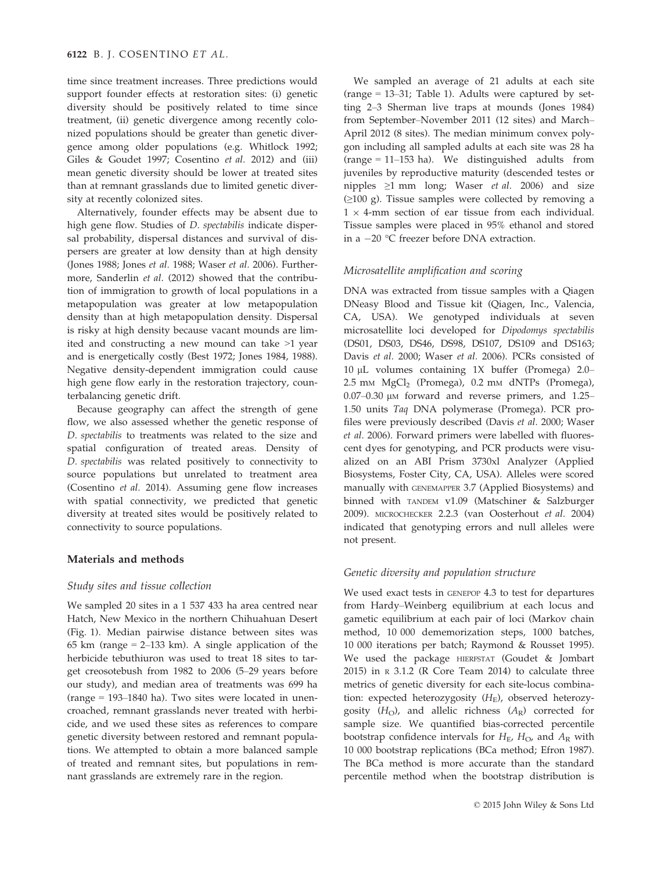time since treatment increases. Three predictions would support founder effects at restoration sites: (i) genetic diversity should be positively related to time since treatment, (ii) genetic divergence among recently colonized populations should be greater than genetic divergence among older populations (e.g. Whitlock 1992; Giles & Goudet 1997; Cosentino et al. 2012) and (iii) mean genetic diversity should be lower at treated sites than at remnant grasslands due to limited genetic diversity at recently colonized sites.

Alternatively, founder effects may be absent due to high gene flow. Studies of *D. spectabilis* indicate dispersal probability, dispersal distances and survival of dispersers are greater at low density than at high density (Jones 1988; Jones et al. 1988; Waser et al. 2006). Furthermore, Sanderlin et al. (2012) showed that the contribution of immigration to growth of local populations in a metapopulation was greater at low metapopulation density than at high metapopulation density. Dispersal is risky at high density because vacant mounds are limited and constructing a new mound can take >1 year and is energetically costly (Best 1972; Jones 1984, 1988). Negative density-dependent immigration could cause high gene flow early in the restoration trajectory, counterbalancing genetic drift.

Because geography can affect the strength of gene flow, we also assessed whether the genetic response of D. spectabilis to treatments was related to the size and spatial configuration of treated areas. Density of D. spectabilis was related positively to connectivity to source populations but unrelated to treatment area (Cosentino et al. 2014). Assuming gene flow increases with spatial connectivity, we predicted that genetic diversity at treated sites would be positively related to connectivity to source populations.

# Materials and methods

#### Study sites and tissue collection

We sampled 20 sites in a 1 537 433 ha area centred near Hatch, New Mexico in the northern Chihuahuan Desert (Fig. 1). Median pairwise distance between sites was 65 km (range  $= 2$ -133 km). A single application of the herbicide tebuthiuron was used to treat 18 sites to target creosotebush from 1982 to 2006 (5–29 years before our study), and median area of treatments was 699 ha (range = 193–1840 ha). Two sites were located in unencroached, remnant grasslands never treated with herbicide, and we used these sites as references to compare genetic diversity between restored and remnant populations. We attempted to obtain a more balanced sample of treated and remnant sites, but populations in remnant grasslands are extremely rare in the region.

We sampled an average of 21 adults at each site (range = 13–31; Table 1). Adults were captured by setting 2–3 Sherman live traps at mounds (Jones 1984) from September–November 2011 (12 sites) and March– April 2012 (8 sites). The median minimum convex polygon including all sampled adults at each site was 28 ha (range = 11–153 ha). We distinguished adults from juveniles by reproductive maturity (descended testes or nipples  $\geq 1$  mm long; Waser *et al.* 2006) and size  $(≥100 \text{ g})$ . Tissue samples were collected by removing a  $1 \times 4$ -mm section of ear tissue from each individual. Tissue samples were placed in 95% ethanol and stored in a  $-20$  °C freezer before DNA extraction.

# Microsatellite amplification and scoring

DNA was extracted from tissue samples with a Qiagen DNeasy Blood and Tissue kit (Qiagen, Inc., Valencia, CA, USA). We genotyped individuals at seven microsatellite loci developed for Dipodomys spectabilis (DS01, DS03, DS46, DS98, DS107, DS109 and DS163; Davis et al. 2000; Waser et al. 2006). PCRs consisted of 10 lL volumes containing 1X buffer (Promega) 2.0– 2.5 mm MgCl<sub>2</sub> (Promega), 0.2 mm dNTPs (Promega),  $0.07-0.30$   $\mu$ M forward and reverse primers, and 1.25– 1.50 units Taq DNA polymerase (Promega). PCR profiles were previously described (Davis et al. 2000; Waser et al. 2006). Forward primers were labelled with fluorescent dyes for genotyping, and PCR products were visualized on an ABI Prism 3730xl Analyzer (Applied Biosystems, Foster City, CA, USA). Alleles were scored manually with GENEMAPPER 3.7 (Applied Biosystems) and binned with TANDEM v1.09 (Matschiner & Salzburger 2009). MICROCHECKER 2.2.3 (van Oosterhout et al. 2004) indicated that genotyping errors and null alleles were not present.

### Genetic diversity and population structure

We used exact tests in GENEPOP 4.3 to test for departures from Hardy–Weinberg equilibrium at each locus and gametic equilibrium at each pair of loci (Markov chain method, 10 000 dememorization steps, 1000 batches, 10 000 iterations per batch; Raymond & Rousset 1995). We used the package HIERFSTAT (Goudet & Jombart 2015) in <sup>R</sup> 3.1.2 (R Core Team 2014) to calculate three metrics of genetic diversity for each site-locus combination: expected heterozygosity  $(H_E)$ , observed heterozygosity  $(H<sub>O</sub>)$ , and allelic richness  $(A<sub>R</sub>)$  corrected for sample size. We quantified bias-corrected percentile bootstrap confidence intervals for  $H_E$ ,  $H_O$ , and  $A_R$  with 10 000 bootstrap replications (BCa method; Efron 1987). The BCa method is more accurate than the standard percentile method when the bootstrap distribution is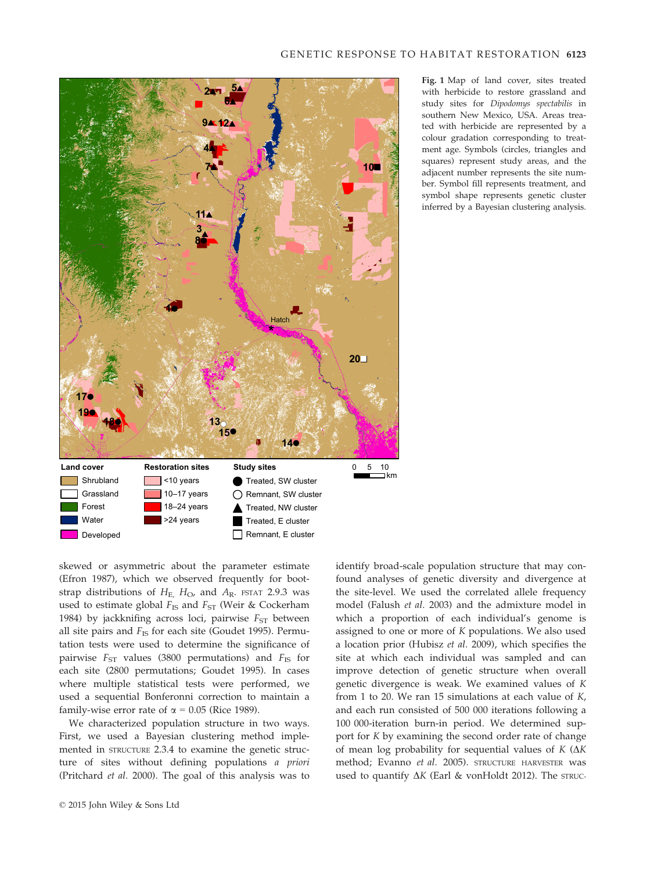

Fig. 1 Map of land cover, sites treated with herbicide to restore grassland and study sites for Dipodomys spectabilis in southern New Mexico, USA. Areas treated with herbicide are represented by a colour gradation corresponding to treatment age. Symbols (circles, triangles and squares) represent study areas, and the adjacent number represents the site number. Symbol fill represents treatment, and symbol shape represents genetic cluster inferred by a Bayesian clustering analysis.

skewed or asymmetric about the parameter estimate (Efron 1987), which we observed frequently for bootstrap distributions of  $H_E$ ,  $H_O$ , and  $A_R$ . FSTAT 2.9.3 was used to estimate global  $F_{\text{IS}}$  and  $F_{\text{ST}}$  (Weir & Cockerham 1984) by jackknifing across loci, pairwise  $F_{ST}$  between all site pairs and  $F_{\text{IS}}$  for each site (Goudet 1995). Permutation tests were used to determine the significance of pairwise  $F_{ST}$  values (3800 permutations) and  $F_{IS}$  for each site (2800 permutations; Goudet 1995). In cases where multiple statistical tests were performed, we used a sequential Bonferonni correction to maintain a family-wise error rate of  $\alpha$  = 0.05 (Rice 1989).

We characterized population structure in two ways. First, we used a Bayesian clustering method implemented in STRUCTURE 2.3.4 to examine the genetic structure of sites without defining populations a priori (Pritchard et al. 2000). The goal of this analysis was to

identify broad-scale population structure that may confound analyses of genetic diversity and divergence at the site-level. We used the correlated allele frequency model (Falush et al. 2003) and the admixture model in which a proportion of each individual's genome is assigned to one or more of K populations. We also used a location prior (Hubisz et al. 2009), which specifies the site at which each individual was sampled and can improve detection of genetic structure when overall genetic divergence is weak. We examined values of K from 1 to 20. We ran 15 simulations at each value of K, and each run consisted of 500 000 iterations following a 100 000-iteration burn-in period. We determined support for K by examining the second order rate of change of mean log probability for sequential values of  $K$  ( $\Delta K$ method; Evanno et al. 2005). STRUCTURE HARVESTER was used to quantify  $\Delta K$  (Earl & vonHoldt 2012). The STRUC-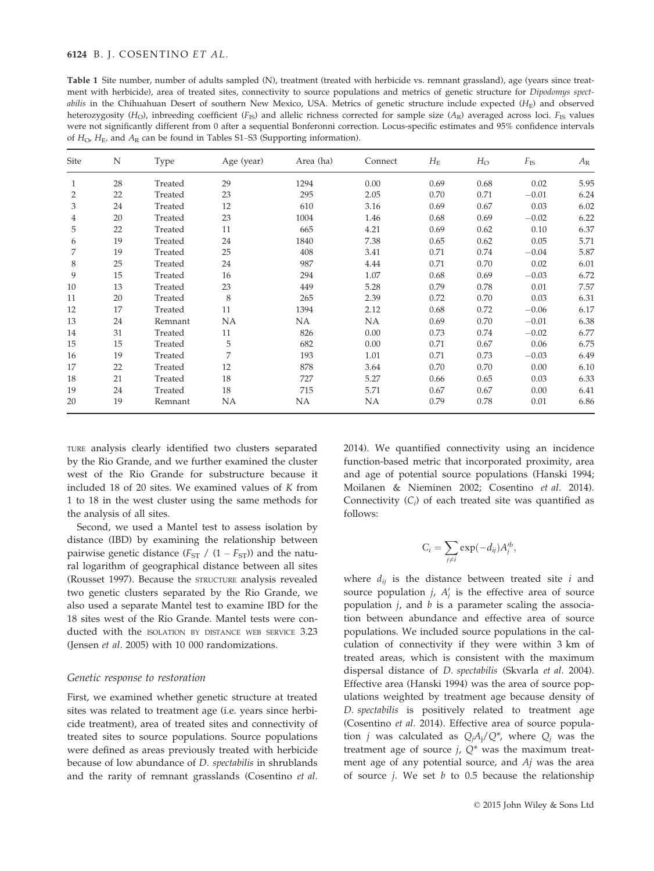Table 1 Site number, number of adults sampled (N), treatment (treated with herbicide vs. remnant grassland), age (years since treatment with herbicide), area of treated sites, connectivity to source populations and metrics of genetic structure for Dipodomys spect*abilis* in the Chihuahuan Desert of southern New Mexico, USA. Metrics of genetic structure include expected  $(H<sub>E</sub>)$  and observed heterozygosity  $(H<sub>O</sub>)$ , inbreeding coefficient  $(F<sub>IS</sub>)$  and allelic richness corrected for sample size  $(A<sub>R</sub>)$  averaged across loci.  $F<sub>IS</sub>$  values were not significantly different from 0 after a sequential Bonferonni correction. Locus-specific estimates and 95% confidence intervals of  $H_{\text{O}}$ ,  $H_{\text{E}}$ , and  $A_{\text{R}}$  can be found in Tables S1–S3 (Supporting information).

| Site | N  | Type    | Age (year) | Area (ha) | Connect   | $H_{\rm E}$ | $H_{\rm O}$ | $F_{\rm IS}$ | $A_{\rm R}$ |
|------|----|---------|------------|-----------|-----------|-------------|-------------|--------------|-------------|
| 1    | 28 | Treated | 29         | 1294      | 0.00      | 0.69        | 0.68        | 0.02         | 5.95        |
| 2    | 22 | Treated | 23         | 295       | 2.05      | 0.70        | 0.71        | $-0.01$      | 6.24        |
| 3    | 24 | Treated | 12         | 610       | 3.16      | 0.69        | 0.67        | 0.03         | 6.02        |
| 4    | 20 | Treated | 23         | 1004      | 1.46      | 0.68        | 0.69        | $-0.02$      | 6.22        |
| 5    | 22 | Treated | 11         | 665       | 4.21      | 0.69        | 0.62        | 0.10         | 6.37        |
| 6    | 19 | Treated | 24         | 1840      | 7.38      | 0.65        | 0.62        | 0.05         | 5.71        |
|      | 19 | Treated | 25         | 408       | 3.41      | 0.71        | 0.74        | $-0.04$      | 5.87        |
| 8    | 25 | Treated | 24         | 987       | 4.44      | 0.71        | 0.70        | 0.02         | 6.01        |
| 9    | 15 | Treated | 16         | 294       | 1.07      | 0.68        | 0.69        | $-0.03$      | 6.72        |
| 10   | 13 | Treated | 23         | 449       | 5.28      | 0.79        | 0.78        | 0.01         | 7.57        |
| 11   | 20 | Treated | 8          | 265       | 2.39      | 0.72        | 0.70        | 0.03         | 6.31        |
| 12   | 17 | Treated | 11         | 1394      | 2.12      | 0.68        | 0.72        | $-0.06$      | 6.17        |
| 13   | 24 | Remnant | <b>NA</b>  | NA.       | <b>NA</b> | 0.69        | 0.70        | $-0.01$      | 6.38        |
| 14   | 31 | Treated | 11         | 826       | 0.00      | 0.73        | 0.74        | $-0.02$      | 6.77        |
| 15   | 15 | Treated | 5          | 682       | 0.00      | 0.71        | 0.67        | 0.06         | 6.75        |
| 16   | 19 | Treated | 7          | 193       | 1.01      | 0.71        | 0.73        | $-0.03$      | 6.49        |
| 17   | 22 | Treated | 12         | 878       | 3.64      | 0.70        | 0.70        | 0.00         | 6.10        |
| 18   | 21 | Treated | 18         | 727       | 5.27      | 0.66        | 0.65        | 0.03         | 6.33        |
| 19   | 24 | Treated | 18         | 715       | 5.71      | 0.67        | 0.67        | 0.00         | 6.41        |
| 20   | 19 | Remnant | NA         | <b>NA</b> | NA        | 0.79        | 0.78        | 0.01         | 6.86        |

TURE analysis clearly identified two clusters separated by the Rio Grande, and we further examined the cluster west of the Rio Grande for substructure because it included 18 of 20 sites. We examined values of K from 1 to 18 in the west cluster using the same methods for the analysis of all sites.

Second, we used a Mantel test to assess isolation by distance (IBD) by examining the relationship between pairwise genetic distance  $(F_{ST} / (1 - F_{ST}))$  and the natural logarithm of geographical distance between all sites (Rousset 1997). Because the STRUCTURE analysis revealed two genetic clusters separated by the Rio Grande, we also used a separate Mantel test to examine IBD for the 18 sites west of the Rio Grande. Mantel tests were conducted with the ISOLATION BY DISTANCE WEB SERVICE 3.23 (Jensen et al. 2005) with 10 000 randomizations.

#### Genetic response to restoration

First, we examined whether genetic structure at treated sites was related to treatment age (i.e. years since herbicide treatment), area of treated sites and connectivity of treated sites to source populations. Source populations were defined as areas previously treated with herbicide because of low abundance of D. spectabilis in shrublands and the rarity of remnant grasslands (Cosentino et al. 2014). We quantified connectivity using an incidence function-based metric that incorporated proximity, area and age of potential source populations (Hanski 1994; Moilanen & Nieminen 2002; Cosentino et al. 2014). Connectivity  $(C_i)$  of each treated site was quantified as follows:

$$
C_i = \sum_{j \neq i} \exp(-d_{ij}) A_j^{b},
$$

where  $d_{ij}$  is the distance between treated site i and source population  $j$ ,  $A'_i$  is the effective area of source population  $j$ , and  $b$  is a parameter scaling the association between abundance and effective area of source populations. We included source populations in the calculation of connectivity if they were within 3 km of treated areas, which is consistent with the maximum dispersal distance of D. spectabilis (Skvarla et al. 2004). Effective area (Hanski 1994) was the area of source populations weighted by treatment age because density of D. spectabilis is positively related to treatment age (Cosentino et al. 2014). Effective area of source population *j* was calculated as  $Q_j A_j / Q^*$ , where  $Q_j$  was the treatment age of source  $j$ ,  $Q^*$  was the maximum treatment age of any potential source, and  $Ai$  was the area of source  $j$ . We set  $b$  to 0.5 because the relationship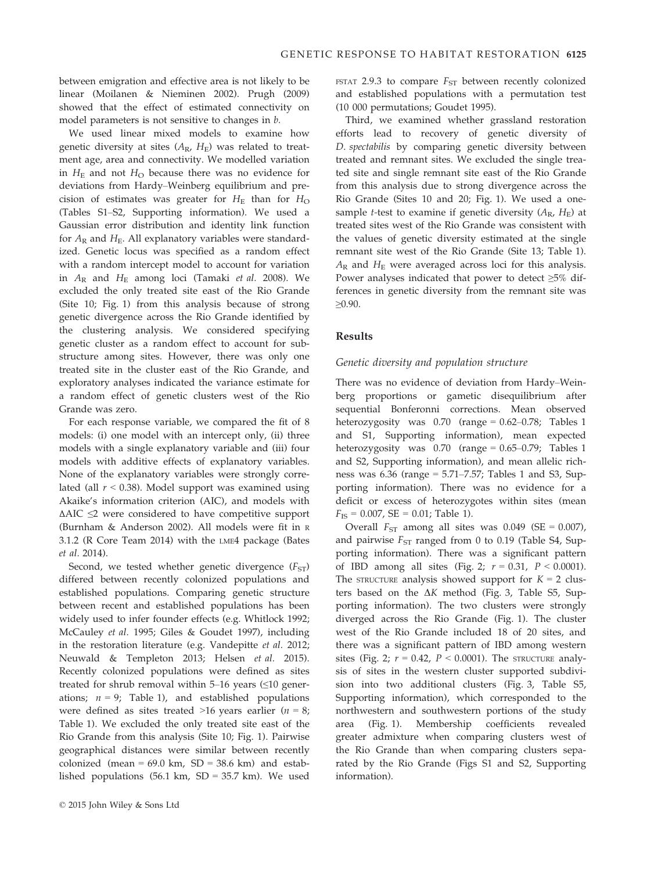between emigration and effective area is not likely to be linear (Moilanen & Nieminen 2002). Prugh (2009) showed that the effect of estimated connectivity on model parameters is not sensitive to changes in b.

We used linear mixed models to examine how genetic diversity at sites  $(A_R, H_E)$  was related to treatment age, area and connectivity. We modelled variation in  $H<sub>E</sub>$  and not  $H<sub>O</sub>$  because there was no evidence for deviations from Hardy–Weinberg equilibrium and precision of estimates was greater for  $H<sub>E</sub>$  than for  $H<sub>O</sub>$ (Tables S1–S2, Supporting information). We used a Gaussian error distribution and identity link function for  $A_R$  and  $H_E$ . All explanatory variables were standardized. Genetic locus was specified as a random effect with a random intercept model to account for variation in  $A_R$  and  $H_E$  among loci (Tamaki et al. 2008). We excluded the only treated site east of the Rio Grande (Site 10; Fig. 1) from this analysis because of strong genetic divergence across the Rio Grande identified by the clustering analysis. We considered specifying genetic cluster as a random effect to account for substructure among sites. However, there was only one treated site in the cluster east of the Rio Grande, and exploratory analyses indicated the variance estimate for a random effect of genetic clusters west of the Rio Grande was zero.

For each response variable, we compared the fit of 8 models: (i) one model with an intercept only, (ii) three models with a single explanatory variable and (iii) four models with additive effects of explanatory variables. None of the explanatory variables were strongly correlated (all  $r < 0.38$ ). Model support was examined using Akaike's information criterion (AIC), and models with ΔAIC ≤2 were considered to have competitive support (Burnham & Anderson 2002). All models were fit in <sup>R</sup> 3.1.2 (R Core Team 2014) with the LME4 package (Bates et al. 2014).

Second, we tested whether genetic divergence  $(F_{ST})$ differed between recently colonized populations and established populations. Comparing genetic structure between recent and established populations has been widely used to infer founder effects (e.g. Whitlock 1992; McCauley et al. 1995; Giles & Goudet 1997), including in the restoration literature (e.g. Vandepitte et al. 2012; Neuwald & Templeton 2013; Helsen et al. 2015). Recently colonized populations were defined as sites treated for shrub removal within  $5-16$  years ( $\leq 10$  generations;  $n = 9$ ; Table 1), and established populations were defined as sites treated  $>16$  years earlier ( $n = 8$ ; Table 1). We excluded the only treated site east of the Rio Grande from this analysis (Site 10; Fig. 1). Pairwise geographical distances were similar between recently colonized (mean =  $69.0 \text{ km}$ , SD =  $38.6 \text{ km}$ ) and established populations  $(56.1 \text{ km}, \text{ SD} = 35.7 \text{ km})$ . We used

FSTAT 2.9.3 to compare  $F_{ST}$  between recently colonized and established populations with a permutation test (10 000 permutations; Goudet 1995).

Third, we examined whether grassland restoration efforts lead to recovery of genetic diversity of D. spectabilis by comparing genetic diversity between treated and remnant sites. We excluded the single treated site and single remnant site east of the Rio Grande from this analysis due to strong divergence across the Rio Grande (Sites 10 and 20; Fig. 1). We used a onesample *t*-test to examine if genetic diversity  $(A_R, H_E)$  at treated sites west of the Rio Grande was consistent with the values of genetic diversity estimated at the single remnant site west of the Rio Grande (Site 13; Table 1).  $A_R$  and  $H_E$  were averaged across loci for this analysis. Power analyses indicated that power to detect ≥5% differences in genetic diversity from the remnant site was ≥0.90.

# Results

#### Genetic diversity and population structure

There was no evidence of deviation from Hardy–Weinberg proportions or gametic disequilibrium after sequential Bonferonni corrections. Mean observed heterozygosity was 0.70 (range = 0.62–0.78; Tables 1 and S1, Supporting information), mean expected heterozygosity was  $0.70$  (range =  $0.65-0.79$ ; Tables 1 and S2, Supporting information), and mean allelic richness was 6.36 (range = 5.71–7.57; Tables 1 and S3, Supporting information). There was no evidence for a deficit or excess of heterozygotes within sites (mean  $F_{IS} = 0.007$ , SE = 0.01; Table 1).

Overall  $F_{ST}$  among all sites was 0.049 (SE = 0.007), and pairwise  $F_{ST}$  ranged from 0 to 0.19 (Table S4, Supporting information). There was a significant pattern of IBD among all sites (Fig. 2;  $r = 0.31$ ,  $P < 0.0001$ ). The STRUCTURE analysis showed support for  $K = 2$  clusters based on the  $\Delta K$  method (Fig. 3, Table S5, Supporting information). The two clusters were strongly diverged across the Rio Grande (Fig. 1). The cluster west of the Rio Grande included 18 of 20 sites, and there was a significant pattern of IBD among western sites (Fig. 2;  $r = 0.42$ ,  $P < 0.0001$ ). The STRUCTURE analysis of sites in the western cluster supported subdivision into two additional clusters (Fig. 3, Table S5, Supporting information), which corresponded to the northwestern and southwestern portions of the study area (Fig. 1). Membership coefficients revealed greater admixture when comparing clusters west of the Rio Grande than when comparing clusters separated by the Rio Grande (Figs S1 and S2, Supporting information).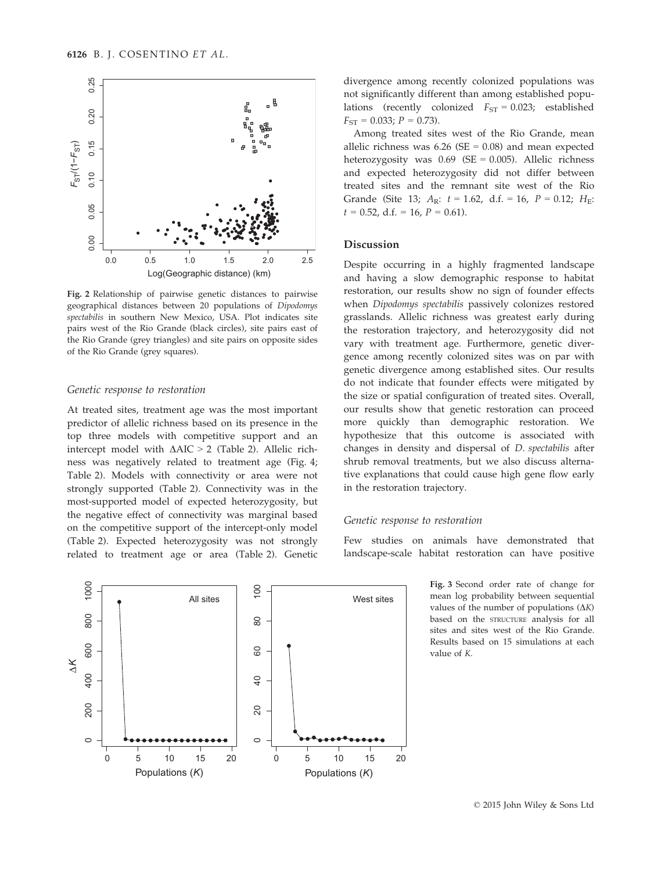

Fig. 2 Relationship of pairwise genetic distances to pairwise geographical distances between 20 populations of Dipodomys spectabilis in southern New Mexico, USA. Plot indicates site pairs west of the Rio Grande (black circles), site pairs east of the Rio Grande (grey triangles) and site pairs on opposite sides of the Rio Grande (grey squares).

### Genetic response to restoration

At treated sites, treatment age was the most important predictor of allelic richness based on its presence in the top three models with competitive support and an intercept model with  $\Delta AIC > 2$  (Table 2). Allelic richness was negatively related to treatment age (Fig. 4; Table 2). Models with connectivity or area were not strongly supported (Table 2). Connectivity was in the most-supported model of expected heterozygosity, but the negative effect of connectivity was marginal based on the competitive support of the intercept-only model (Table 2). Expected heterozygosity was not strongly related to treatment age or area (Table 2). Genetic



divergence among recently colonized populations was not significantly different than among established populations (recently colonized  $F_{ST} = 0.023$ ; established  $F_{ST} = 0.033; P = 0.73$ .

Among treated sites west of the Rio Grande, mean allelic richness was  $6.26$  (SE = 0.08) and mean expected heterozygosity was  $0.69$  (SE = 0.005). Allelic richness and expected heterozygosity did not differ between treated sites and the remnant site west of the Rio Grande (Site 13;  $A_R$ :  $t = 1.62$ , d.f. = 16,  $P = 0.12$ ;  $H_E$ :  $t = 0.52$ , d.f. = 16,  $P = 0.61$ ).

#### Discussion

Despite occurring in a highly fragmented landscape and having a slow demographic response to habitat restoration, our results show no sign of founder effects when Dipodomys spectabilis passively colonizes restored grasslands. Allelic richness was greatest early during the restoration trajectory, and heterozygosity did not vary with treatment age. Furthermore, genetic divergence among recently colonized sites was on par with genetic divergence among established sites. Our results do not indicate that founder effects were mitigated by the size or spatial configuration of treated sites. Overall, our results show that genetic restoration can proceed more quickly than demographic restoration. We hypothesize that this outcome is associated with changes in density and dispersal of D. spectabilis after shrub removal treatments, but we also discuss alternative explanations that could cause high gene flow early in the restoration trajectory.

### Genetic response to restoration

Few studies on animals have demonstrated that landscape-scale habitat restoration can have positive

> Fig. 3 Second order rate of change for mean log probability between sequential values of the number of populations  $(\Delta K)$ based on the STRUCTURE analysis for all sites and sites west of the Rio Grande. Results based on 15 simulations at each value of K.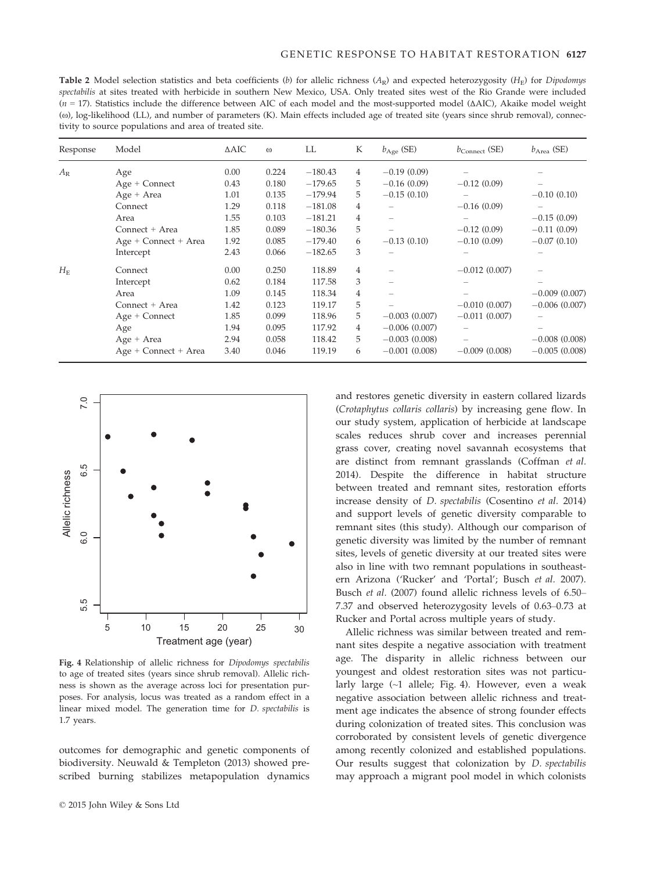Table 2 Model selection statistics and beta coefficients (b) for allelic richness ( $A_R$ ) and expected heterozygosity ( $H_E$ ) for Dipodomys spectabilis at sites treated with herbicide in southern New Mexico, USA. Only treated sites west of the Rio Grande were included (n = 17). Statistics include the difference between AIC of each model and the most-supported model (ΔAIC), Akaike model weight ( $\omega$ ), log-likelihood (LL), and number of parameters (K). Main effects included age of treated site (years since shrub removal), connectivity to source populations and area of treated site.

| Response    | Model                  | $\triangle AIC$ | $\omega$ | LL        | K              | $b_{\text{Age}}$ (SE) | $b_{\rm Connect}$ (SE) | $b_{Area}$ (SE) |
|-------------|------------------------|-----------------|----------|-----------|----------------|-----------------------|------------------------|-----------------|
| $A_{\rm R}$ | Age                    | 0.00            | 0.224    | $-180.43$ | 4              | $-0.19(0.09)$         |                        |                 |
|             | $Age + Connect$        | 0.43            | 0.180    | $-179.65$ | 5              | $-0.16(0.09)$         | $-0.12(0.09)$          |                 |
|             | $Age + Area$           | 1.01            | 0.135    | $-179.94$ | 5              | $-0.15(0.10)$         |                        | $-0.10(0.10)$   |
|             | Connect                | 1.29            | 0.118    | $-181.08$ | 4              |                       | $-0.16(0.09)$          |                 |
|             | Area                   | 1.55            | 0.103    | $-181.21$ | 4              |                       |                        | $-0.15(0.09)$   |
|             | Connect + Area         | 1.85            | 0.089    | $-180.36$ | 5              |                       | $-0.12(0.09)$          | $-0.11(0.09)$   |
|             | $Age + Connect + Area$ | 1.92            | 0.085    | $-179.40$ | 6              | $-0.13(0.10)$         | $-0.10(0.09)$          | $-0.07(0.10)$   |
|             | Intercept              | 2.43            | 0.066    | $-182.65$ | 3              |                       |                        |                 |
| $H_{\rm E}$ | Connect                | 0.00            | 0.250    | 118.89    | $\overline{4}$ |                       | $-0.012(0.007)$        |                 |
|             | Intercept              | 0.62            | 0.184    | 117.58    | 3              |                       |                        |                 |
|             | Area                   | 1.09            | 0.145    | 118.34    | 4              |                       |                        | $-0.009(0.007)$ |
|             | Connect + Area         | 1.42            | 0.123    | 119.17    | 5              |                       | $-0.010(0.007)$        | $-0.006(0.007)$ |
|             | $Age + Connect$        | 1.85            | 0.099    | 118.96    | 5              | $-0.003(0.007)$       | $-0.011(0.007)$        |                 |
|             | Age                    | 1.94            | 0.095    | 117.92    | 4              | $-0.006(0.007)$       |                        |                 |
|             | $Age + Area$           | 2.94            | 0.058    | 118.42    | 5              | $-0.003(0.008)$       |                        | $-0.008(0.008)$ |
|             | $Age + Connect + Area$ | 3.40            | 0.046    | 119.19    | 6              | $-0.001(0.008)$       | $-0.009(0.008)$        | $-0.005(0.008)$ |



Fig. 4 Relationship of allelic richness for Dipodomys spectabilis to age of treated sites (years since shrub removal). Allelic richness is shown as the average across loci for presentation purposes. For analysis, locus was treated as a random effect in a linear mixed model. The generation time for D. spectabilis is 1.7 years.

outcomes for demographic and genetic components of biodiversity. Neuwald & Templeton (2013) showed prescribed burning stabilizes metapopulation dynamics and restores genetic diversity in eastern collared lizards (Crotaphytus collaris collaris) by increasing gene flow. In our study system, application of herbicide at landscape scales reduces shrub cover and increases perennial grass cover, creating novel savannah ecosystems that are distinct from remnant grasslands (Coffman et al. 2014). Despite the difference in habitat structure between treated and remnant sites, restoration efforts increase density of D. spectabilis (Cosentino et al. 2014) and support levels of genetic diversity comparable to remnant sites (this study). Although our comparison of genetic diversity was limited by the number of remnant sites, levels of genetic diversity at our treated sites were also in line with two remnant populations in southeastern Arizona ('Rucker' and 'Portal'; Busch et al. 2007). Busch et al. (2007) found allelic richness levels of 6.50– 7.37 and observed heterozygosity levels of 0.63–0.73 at Rucker and Portal across multiple years of study.

Allelic richness was similar between treated and remnant sites despite a negative association with treatment age. The disparity in allelic richness between our youngest and oldest restoration sites was not particularly large (~1 allele; Fig. 4). However, even a weak negative association between allelic richness and treatment age indicates the absence of strong founder effects during colonization of treated sites. This conclusion was corroborated by consistent levels of genetic divergence among recently colonized and established populations. Our results suggest that colonization by D. spectabilis may approach a migrant pool model in which colonists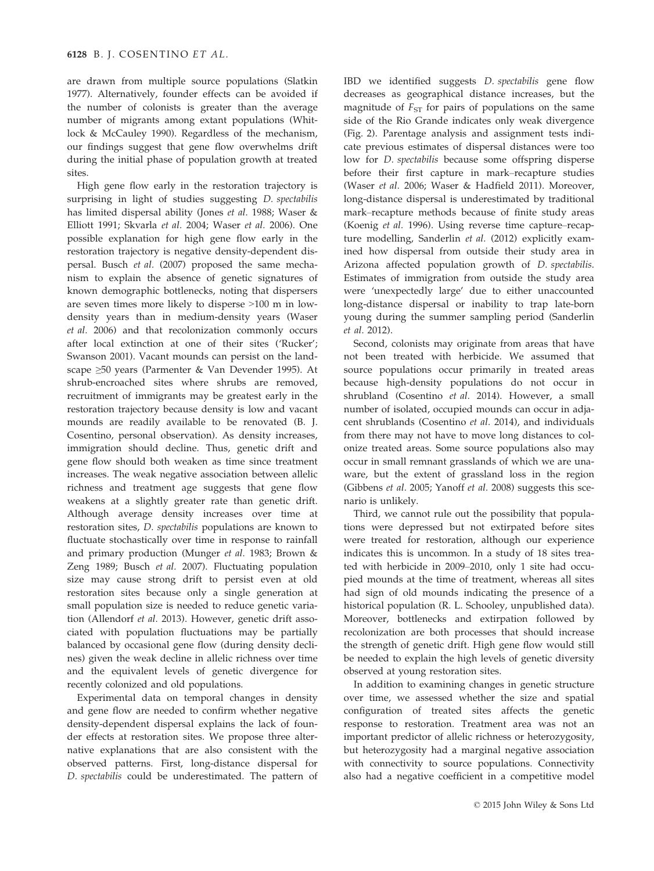are drawn from multiple source populations (Slatkin 1977). Alternatively, founder effects can be avoided if the number of colonists is greater than the average number of migrants among extant populations (Whitlock & McCauley 1990). Regardless of the mechanism, our findings suggest that gene flow overwhelms drift during the initial phase of population growth at treated sites.

High gene flow early in the restoration trajectory is surprising in light of studies suggesting D. spectabilis has limited dispersal ability (Jones et al. 1988; Waser & Elliott 1991; Skvarla et al. 2004; Waser et al. 2006). One possible explanation for high gene flow early in the restoration trajectory is negative density-dependent dispersal. Busch et al. (2007) proposed the same mechanism to explain the absence of genetic signatures of known demographic bottlenecks, noting that dispersers are seven times more likely to disperse >100 m in lowdensity years than in medium-density years (Waser et al. 2006) and that recolonization commonly occurs after local extinction at one of their sites ('Rucker'; Swanson 2001). Vacant mounds can persist on the landscape ≥50 years (Parmenter & Van Devender 1995). At shrub-encroached sites where shrubs are removed, recruitment of immigrants may be greatest early in the restoration trajectory because density is low and vacant mounds are readily available to be renovated (B. J. Cosentino, personal observation). As density increases, immigration should decline. Thus, genetic drift and gene flow should both weaken as time since treatment increases. The weak negative association between allelic richness and treatment age suggests that gene flow weakens at a slightly greater rate than genetic drift. Although average density increases over time at restoration sites, D. spectabilis populations are known to fluctuate stochastically over time in response to rainfall and primary production (Munger et al. 1983; Brown & Zeng 1989; Busch et al. 2007). Fluctuating population size may cause strong drift to persist even at old restoration sites because only a single generation at small population size is needed to reduce genetic variation (Allendorf et al. 2013). However, genetic drift associated with population fluctuations may be partially balanced by occasional gene flow (during density declines) given the weak decline in allelic richness over time and the equivalent levels of genetic divergence for recently colonized and old populations.

Experimental data on temporal changes in density and gene flow are needed to confirm whether negative density-dependent dispersal explains the lack of founder effects at restoration sites. We propose three alternative explanations that are also consistent with the observed patterns. First, long-distance dispersal for D. spectabilis could be underestimated. The pattern of

IBD we identified suggests D. spectabilis gene flow decreases as geographical distance increases, but the magnitude of  $F_{ST}$  for pairs of populations on the same side of the Rio Grande indicates only weak divergence (Fig. 2). Parentage analysis and assignment tests indicate previous estimates of dispersal distances were too low for D. spectabilis because some offspring disperse before their first capture in mark–recapture studies (Waser et al. 2006; Waser & Hadfield 2011). Moreover, long-distance dispersal is underestimated by traditional mark–recapture methods because of finite study areas (Koenig et al. 1996). Using reverse time capture–recapture modelling, Sanderlin et al. (2012) explicitly examined how dispersal from outside their study area in Arizona affected population growth of D. spectabilis. Estimates of immigration from outside the study area were 'unexpectedly large' due to either unaccounted long-distance dispersal or inability to trap late-born young during the summer sampling period (Sanderlin et al. 2012).

Second, colonists may originate from areas that have not been treated with herbicide. We assumed that source populations occur primarily in treated areas because high-density populations do not occur in shrubland (Cosentino et al. 2014). However, a small number of isolated, occupied mounds can occur in adjacent shrublands (Cosentino et al. 2014), and individuals from there may not have to move long distances to colonize treated areas. Some source populations also may occur in small remnant grasslands of which we are unaware, but the extent of grassland loss in the region (Gibbens et al. 2005; Yanoff et al. 2008) suggests this scenario is unlikely.

Third, we cannot rule out the possibility that populations were depressed but not extirpated before sites were treated for restoration, although our experience indicates this is uncommon. In a study of 18 sites treated with herbicide in 2009–2010, only 1 site had occupied mounds at the time of treatment, whereas all sites had sign of old mounds indicating the presence of a historical population (R. L. Schooley, unpublished data). Moreover, bottlenecks and extirpation followed by recolonization are both processes that should increase the strength of genetic drift. High gene flow would still be needed to explain the high levels of genetic diversity observed at young restoration sites.

In addition to examining changes in genetic structure over time, we assessed whether the size and spatial configuration of treated sites affects the genetic response to restoration. Treatment area was not an important predictor of allelic richness or heterozygosity, but heterozygosity had a marginal negative association with connectivity to source populations. Connectivity also had a negative coefficient in a competitive model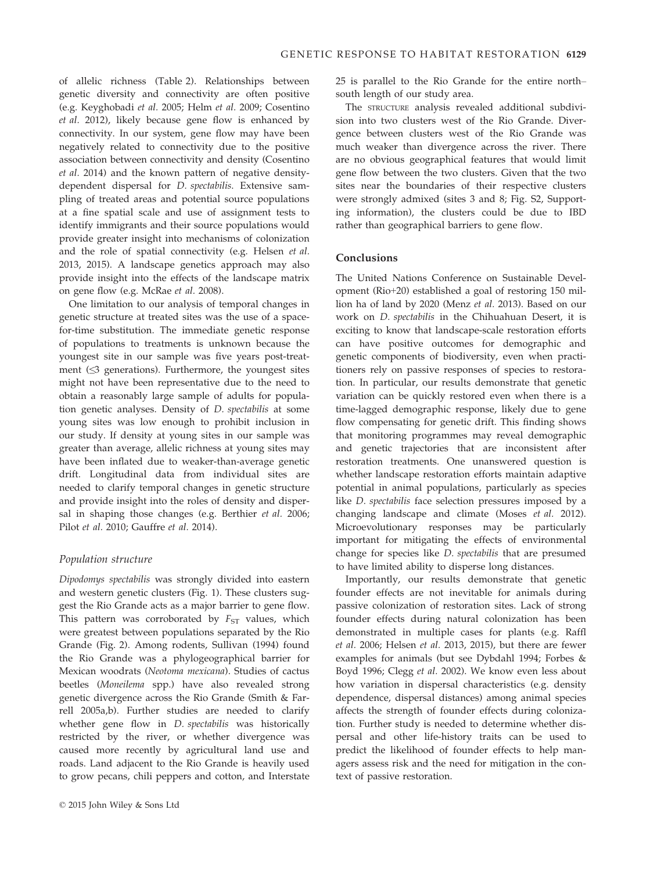of allelic richness (Table 2). Relationships between genetic diversity and connectivity are often positive (e.g. Keyghobadi et al. 2005; Helm et al. 2009; Cosentino et al. 2012), likely because gene flow is enhanced by connectivity. In our system, gene flow may have been negatively related to connectivity due to the positive association between connectivity and density (Cosentino et al. 2014) and the known pattern of negative densitydependent dispersal for D. spectabilis. Extensive sampling of treated areas and potential source populations at a fine spatial scale and use of assignment tests to identify immigrants and their source populations would provide greater insight into mechanisms of colonization and the role of spatial connectivity (e.g. Helsen et al. 2013, 2015). A landscape genetics approach may also provide insight into the effects of the landscape matrix on gene flow (e.g. McRae et al. 2008).

One limitation to our analysis of temporal changes in genetic structure at treated sites was the use of a spacefor-time substitution. The immediate genetic response of populations to treatments is unknown because the youngest site in our sample was five years post-treatment (≤3 generations). Furthermore, the youngest sites might not have been representative due to the need to obtain a reasonably large sample of adults for population genetic analyses. Density of D. spectabilis at some young sites was low enough to prohibit inclusion in our study. If density at young sites in our sample was greater than average, allelic richness at young sites may have been inflated due to weaker-than-average genetic drift. Longitudinal data from individual sites are needed to clarify temporal changes in genetic structure and provide insight into the roles of density and dispersal in shaping those changes (e.g. Berthier et al. 2006; Pilot et al. 2010; Gauffre et al. 2014).

# Population structure

Dipodomys spectabilis was strongly divided into eastern and western genetic clusters (Fig. 1). These clusters suggest the Rio Grande acts as a major barrier to gene flow. This pattern was corroborated by  $F_{ST}$  values, which were greatest between populations separated by the Rio Grande (Fig. 2). Among rodents, Sullivan (1994) found the Rio Grande was a phylogeographical barrier for Mexican woodrats (Neotoma mexicana). Studies of cactus beetles (Moneilema spp.) have also revealed strong genetic divergence across the Rio Grande (Smith & Farrell 2005a,b). Further studies are needed to clarify whether gene flow in *D. spectabilis* was historically restricted by the river, or whether divergence was caused more recently by agricultural land use and roads. Land adjacent to the Rio Grande is heavily used to grow pecans, chili peppers and cotton, and Interstate 25 is parallel to the Rio Grande for the entire north– south length of our study area.

The STRUCTURE analysis revealed additional subdivision into two clusters west of the Rio Grande. Divergence between clusters west of the Rio Grande was much weaker than divergence across the river. There are no obvious geographical features that would limit gene flow between the two clusters. Given that the two sites near the boundaries of their respective clusters were strongly admixed (sites 3 and 8; Fig. S2, Supporting information), the clusters could be due to IBD rather than geographical barriers to gene flow.

# Conclusions

The United Nations Conference on Sustainable Development (Rio+20) established a goal of restoring 150 million ha of land by 2020 (Menz et al. 2013). Based on our work on D. spectabilis in the Chihuahuan Desert, it is exciting to know that landscape-scale restoration efforts can have positive outcomes for demographic and genetic components of biodiversity, even when practitioners rely on passive responses of species to restoration. In particular, our results demonstrate that genetic variation can be quickly restored even when there is a time-lagged demographic response, likely due to gene flow compensating for genetic drift. This finding shows that monitoring programmes may reveal demographic and genetic trajectories that are inconsistent after restoration treatments. One unanswered question is whether landscape restoration efforts maintain adaptive potential in animal populations, particularly as species like D. spectabilis face selection pressures imposed by a changing landscape and climate (Moses et al. 2012). Microevolutionary responses may be particularly important for mitigating the effects of environmental change for species like D. spectabilis that are presumed to have limited ability to disperse long distances.

Importantly, our results demonstrate that genetic founder effects are not inevitable for animals during passive colonization of restoration sites. Lack of strong founder effects during natural colonization has been demonstrated in multiple cases for plants (e.g. Raffl et al. 2006; Helsen et al. 2013, 2015), but there are fewer examples for animals (but see Dybdahl 1994; Forbes & Boyd 1996; Clegg et al. 2002). We know even less about how variation in dispersal characteristics (e.g. density dependence, dispersal distances) among animal species affects the strength of founder effects during colonization. Further study is needed to determine whether dispersal and other life-history traits can be used to predict the likelihood of founder effects to help managers assess risk and the need for mitigation in the context of passive restoration.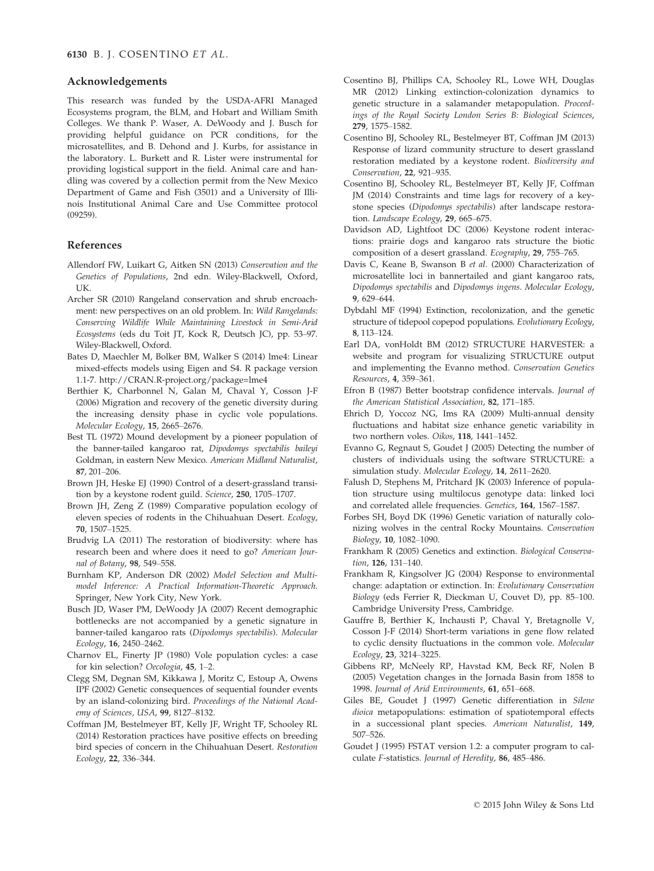# Acknowledgements

This research was funded by the USDA-AFRI Managed Ecosystems program, the BLM, and Hobart and William Smith Colleges. We thank P. Waser, A. DeWoody and J. Busch for providing helpful guidance on PCR conditions, for the microsatellites, and B. Dehond and J. Kurbs, for assistance in the laboratory. L. Burkett and R. Lister were instrumental for providing logistical support in the field. Animal care and handling was covered by a collection permit from the New Mexico Department of Game and Fish (3501) and a University of Illinois Institutional Animal Care and Use Committee protocol (09259).

# References

- Allendorf FW, Luikart G, Aitken SN (2013) Conservation and the Genetics of Populations, 2nd edn. Wiley-Blackwell, Oxford, UK.
- Archer SR (2010) Rangeland conservation and shrub encroachment: new perspectives on an old problem. In: Wild Rangelands: Conserving Wildlife While Maintaining Livestock in Semi-Arid Ecosystems (eds du Toit JT, Kock R, Deutsch JC), pp. 53–97. Wiley-Blackwell, Oxford.
- Bates D, Maechler M, Bolker BM, Walker S (2014) lme4: Linear mixed-effects models using Eigen and S4. R package version 1.1-7.<http://CRAN.R-project.org/package=lme4>
- Berthier K, Charbonnel N, Galan M, Chaval Y, Cosson J-F (2006) Migration and recovery of the genetic diversity during the increasing density phase in cyclic vole populations. Molecular Ecology, 15, 2665–2676.
- Best TL (1972) Mound development by a pioneer population of the banner-tailed kangaroo rat, Dipodomys spectabilis baileyi Goldman, in eastern New Mexico. American Midland Naturalist, 87, 201–206.
- Brown JH, Heske EJ (1990) Control of a desert-grassland transition by a keystone rodent guild. Science, 250, 1705–1707.
- Brown JH, Zeng Z (1989) Comparative population ecology of eleven species of rodents in the Chihuahuan Desert. Ecology, 70, 1507–1525.
- Brudvig LA (2011) The restoration of biodiversity: where has research been and where does it need to go? American Journal of Botany, 98, 549–558.
- Burnham KP, Anderson DR (2002) Model Selection and Multimodel Inference: A Practical Information-Theoretic Approach. Springer, New York City, New York.
- Busch JD, Waser PM, DeWoody JA (2007) Recent demographic bottlenecks are not accompanied by a genetic signature in banner-tailed kangaroo rats (Dipodomys spectabilis). Molecular Ecology, 16, 2450–2462.
- Charnov EL, Finerty JP (1980) Vole population cycles: a case for kin selection? Oecologia, 45, 1–2.
- Clegg SM, Degnan SM, Kikkawa J, Moritz C, Estoup A, Owens IPF (2002) Genetic consequences of sequential founder events by an island-colonizing bird. Proceedings of the National Academy of Sciences, USA, 99, 8127–8132.
- Coffman JM, Bestelmeyer BT, Kelly JF, Wright TF, Schooley RL (2014) Restoration practices have positive effects on breeding bird species of concern in the Chihuahuan Desert. Restoration Ecology, 22, 336–344.
- Cosentino BJ, Phillips CA, Schooley RL, Lowe WH, Douglas MR (2012) Linking extinction-colonization dynamics to genetic structure in a salamander metapopulation. Proceedings of the Royal Society London Series B: Biological Sciences, 279, 1575–1582.
- Cosentino BJ, Schooley RL, Bestelmeyer BT, Coffman JM (2013) Response of lizard community structure to desert grassland restoration mediated by a keystone rodent. Biodiversity and Conservation, 22, 921–935.
- Cosentino BJ, Schooley RL, Bestelmeyer BT, Kelly JF, Coffman JM (2014) Constraints and time lags for recovery of a keystone species (Dipodomys spectabilis) after landscape restoration. Landscape Ecology, 29, 665-675.
- Davidson AD, Lightfoot DC (2006) Keystone rodent interactions: prairie dogs and kangaroo rats structure the biotic composition of a desert grassland. Ecography, 29, 755–765.
- Davis C, Keane B, Swanson B et al. (2000) Characterization of microsatellite loci in bannertailed and giant kangaroo rats, Dipodomys spectabilis and Dipodomys ingens. Molecular Ecology, 9, 629–644.
- Dybdahl MF (1994) Extinction, recolonization, and the genetic structure of tidepool copepod populations. Evolutionary Ecology, 8, 113–124.
- Earl DA, vonHoldt BM (2012) STRUCTURE HARVESTER: a website and program for visualizing STRUCTURE output and implementing the Evanno method. Conservation Genetics Resources, 4, 359–361.
- Efron B (1987) Better bootstrap confidence intervals. Journal of the American Statistical Association, 82, 171–185.
- Ehrich D, Yoccoz NG, Ims RA (2009) Multi-annual density fluctuations and habitat size enhance genetic variability in two northern voles. Oikos, 118, 1441–1452.
- Evanno G, Regnaut S, Goudet J (2005) Detecting the number of clusters of individuals using the software STRUCTURE: a simulation study. Molecular Ecology, 14, 2611-2620.
- Falush D, Stephens M, Pritchard JK (2003) Inference of population structure using multilocus genotype data: linked loci and correlated allele frequencies. Genetics, 164, 1567–1587.
- Forbes SH, Boyd DK (1996) Genetic variation of naturally colonizing wolves in the central Rocky Mountains. Conservation Biology, 10, 1082–1090.
- Frankham R (2005) Genetics and extinction. Biological Conservation, 126, 131–140.
- Frankham R, Kingsolver JG (2004) Response to environmental change: adaptation or extinction. In: Evolutionary Conservation Biology (eds Ferrier R, Dieckman U, Couvet D), pp. 85–100. Cambridge University Press, Cambridge.
- Gauffre B, Berthier K, Inchausti P, Chaval Y, Bretagnolle V, Cosson J-F (2014) Short-term variations in gene flow related to cyclic density fluctuations in the common vole. Molecular Ecology, 23, 3214–3225.
- Gibbens RP, McNeely RP, Havstad KM, Beck RF, Nolen B (2005) Vegetation changes in the Jornada Basin from 1858 to 1998. Journal of Arid Environments, 61, 651–668.
- Giles BE, Goudet J (1997) Genetic differentiation in Silene dioica metapopulations: estimation of spatiotemporal effects in a successional plant species. American Naturalist, 149, 507–526.
- Goudet J (1995) FSTAT version 1.2: a computer program to calculate F-statistics. Journal of Heredity, 86, 485–486.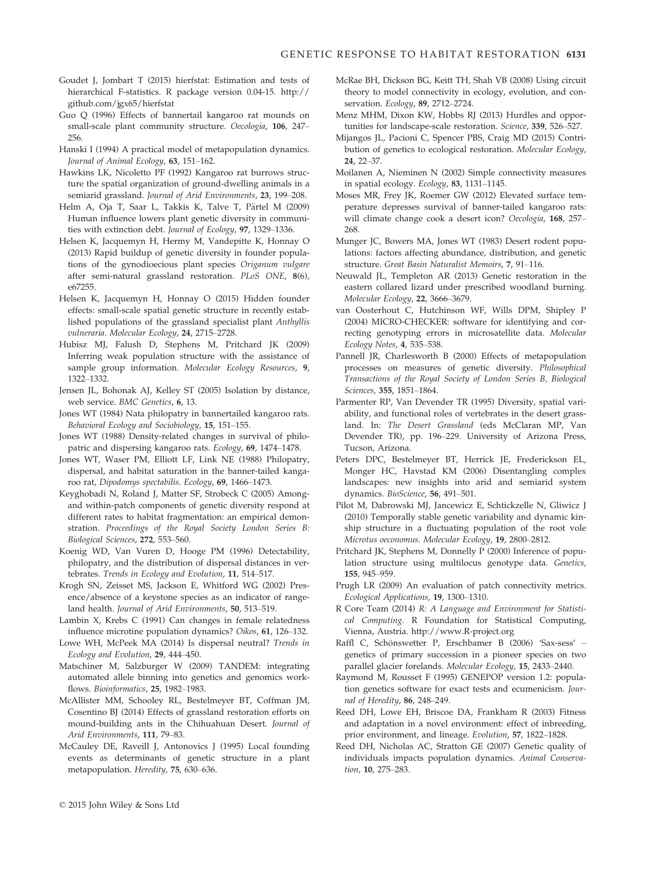- Goudet J, Jombart T (2015) hierfstat: Estimation and tests of hierarchical F-statistics. R package version 0.04-15. [http://](http://github.com/jgx65/hierfstat) [github.com/jgx65/hierfstat](http://github.com/jgx65/hierfstat)
- Guo Q (1996) Effects of bannertail kangaroo rat mounds on small-scale plant community structure. Oecologia, 106, 247– 256.
- Hanski I (1994) A practical model of metapopulation dynamics. Journal of Animal Ecology, 63, 151–162.
- Hawkins LK, Nicoletto PF (1992) Kangaroo rat burrows structure the spatial organization of ground-dwelling animals in a semiarid grassland. Journal of Arid Environments, 23, 199–208.
- Helm A, Oja T, Saar L, Takkis K, Talve T, Pärtel M (2009) Human influence lowers plant genetic diversity in communities with extinction debt. Journal of Ecology, 97, 1329–1336.
- Helsen K, Jacquemyn H, Hermy M, Vandepitte K, Honnay O (2013) Rapid buildup of genetic diversity in founder populations of the gynodioecious plant species Origanum vulgare after semi-natural grassland restoration. PLoS ONE, 8(6), e67255.
- Helsen K, Jacquemyn H, Honnay O (2015) Hidden founder effects: small-scale spatial genetic structure in recently established populations of the grassland specialist plant Anthyllis vulneraria. Molecular Ecology, 24, 2715–2728.
- Hubisz MJ, Falush D, Stephens M, Pritchard JK (2009) Inferring weak population structure with the assistance of sample group information. Molecular Ecology Resources, 9, 1322–1332.
- Jensen JL, Bohonak AJ, Kelley ST (2005) Isolation by distance, web service. BMC Genetics, 6, 13.
- Jones WT (1984) Nata philopatry in bannertailed kangaroo rats. Behavioral Ecology and Sociobiology, 15, 151–155.
- Jones WT (1988) Density-related changes in survival of philopatric and dispersing kangaroo rats. Ecology, 69, 1474–1478.
- Jones WT, Waser PM, Elliott LF, Link NE (1988) Philopatry, dispersal, and habitat saturation in the banner-tailed kangaroo rat, Dipodomys spectabilis. Ecology, 69, 1466–1473.
- Keyghobadi N, Roland J, Matter SF, Strobeck C (2005) Amongand within-patch components of genetic diversity respond at different rates to habitat fragmentation: an empirical demonstration. Proceedings of the Royal Society London Series B: Biological Sciences, 272, 553–560.
- Koenig WD, Van Vuren D, Hooge PM (1996) Detectability, philopatry, and the distribution of dispersal distances in vertebrates. Trends in Ecology and Evolution, 11, 514-517.
- Krogh SN, Zeisset MS, Jackson E, Whitford WG (2002) Presence/absence of a keystone species as an indicator of rangeland health. Journal of Arid Environments, 50, 513–519.
- Lambin X, Krebs C (1991) Can changes in female relatedness influence microtine population dynamics? Oikos, 61, 126–132.
- Lowe WH, McPeek MA (2014) Is dispersal neutral? Trends in Ecology and Evolution, 29, 444–450.
- Matschiner M, Salzburger W (2009) TANDEM: integrating automated allele binning into genetics and genomics workflows. Bioinformatics, 25, 1982–1983.
- McAllister MM, Schooley RL, Bestelmeyer BT, Coffman JM, Cosentino BJ (2014) Effects of grassland restoration efforts on mound-building ants in the Chihuahuan Desert. Journal of Arid Environments, 111, 79–83.
- McCauley DE, Raveill J, Antonovics J (1995) Local founding events as determinants of genetic structure in a plant metapopulation. Heredity, 75, 630–636.
- McRae BH, Dickson BG, Keitt TH, Shah VB (2008) Using circuit theory to model connectivity in ecology, evolution, and conservation. Ecology, 89, 2712–2724.
- Menz MHM, Dixon KW, Hobbs RJ (2013) Hurdles and opportunities for landscape-scale restoration. Science, 339, 526–527.
- Mijangos JL, Pacioni C, Spencer PBS, Craig MD (2015) Contribution of genetics to ecological restoration. Molecular Ecology, 24, 22–37.
- Moilanen A, Nieminen N (2002) Simple connectivity measures in spatial ecology. Ecology, 83, 1131–1145.
- Moses MR, Frey JK, Roemer GW (2012) Elevated surface temperature depresses survival of banner-tailed kangaroo rats: will climate change cook a desert icon? Oecologia, 168, 257– 268.
- Munger JC, Bowers MA, Jones WT (1983) Desert rodent populations: factors affecting abundance, distribution, and genetic structure. Great Basin Naturalist Memoirs, 7, 91–116.
- Neuwald JL, Templeton AR (2013) Genetic restoration in the eastern collared lizard under prescribed woodland burning. Molecular Ecology, 22, 3666–3679.
- van Oosterhout C, Hutchinson WF, Wills DPM, Shipley P (2004) MICRO-CHECKER: software for identifying and correcting genotyping errors in microsatellite data. Molecular Ecology Notes, 4, 535–538.
- Pannell JR, Charlesworth B (2000) Effects of metapopulation processes on measures of genetic diversity. Philosophical Transactions of the Royal Society of London Series B, Biological Sciences, 355, 1851–1864.
- Parmenter RP, Van Devender TR (1995) Diversity, spatial variability, and functional roles of vertebrates in the desert grassland. In: The Desert Grassland (eds McClaran MP, Van Devender TR), pp. 196–229. University of Arizona Press, Tucson, Arizona.
- Peters DPC, Bestelmeyer BT, Herrick JE, Frederickson EL, Monger HC, Havstad KM (2006) Disentangling complex landscapes: new insights into arid and semiarid system dynamics. BioScience, 56, 491–501.
- Pilot M, Dabrowski MJ, Jancewicz E, Schtickzelle N, Gliwicz J (2010) Temporally stable genetic variability and dynamic kinship structure in a fluctuating population of the root vole Microtus oeconomus. Molecular Ecology, 19, 2800–2812.
- Pritchard JK, Stephens M, Donnelly P (2000) Inference of population structure using multilocus genotype data. Genetics, 155, 945–959.
- Prugh LR (2009) An evaluation of patch connectivity metrics. Ecological Applications, 19, 1300–1310.
- R Core Team (2014) R: A Language and Environment for Statistical Computing. R Foundation for Statistical Computing, Vienna, Austria.<http://www.R-project.org>
- Raffl C, Schönswetter P, Erschbamer B (2006) 'Sax-sess' genetics of primary succession in a pioneer species on two parallel glacier forelands. Molecular Ecology, 15, 2433–2440.
- Raymond M, Rousset F (1995) GENEPOP version 1.2: population genetics software for exact tests and ecumenicism. Journal of Heredity, 86, 248–249.
- Reed DH, Lowe EH, Briscoe DA, Frankham R (2003) Fitness and adaptation in a novel environment: effect of inbreeding, prior environment, and lineage. Evolution, 57, 1822–1828.
- Reed DH, Nicholas AC, Stratton GE (2007) Genetic quality of individuals impacts population dynamics. Animal Conservation, 10, 275–283.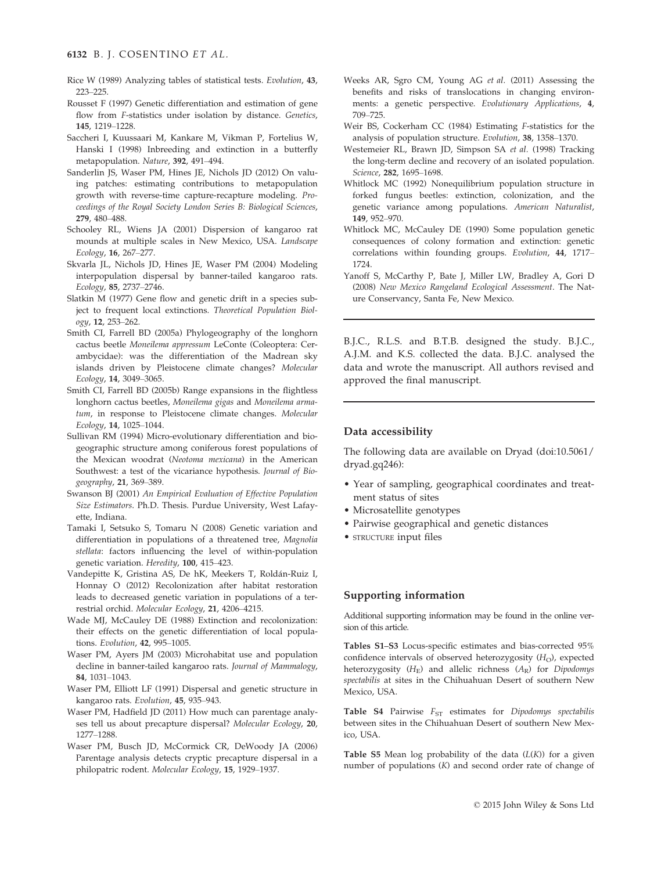- Rice W (1989) Analyzing tables of statistical tests. Evolution, 43, 223–225.
- Rousset F (1997) Genetic differentiation and estimation of gene flow from F-statistics under isolation by distance. Genetics, 145, 1219–1228.
- Saccheri I, Kuussaari M, Kankare M, Vikman P, Fortelius W, Hanski I (1998) Inbreeding and extinction in a butterfly metapopulation. Nature, 392, 491–494.
- Sanderlin JS, Waser PM, Hines JE, Nichols JD (2012) On valuing patches: estimating contributions to metapopulation growth with reverse-time capture-recapture modeling. Proceedings of the Royal Society London Series B: Biological Sciences, 279, 480–488.
- Schooley RL, Wiens JA (2001) Dispersion of kangaroo rat mounds at multiple scales in New Mexico, USA. Landscape Ecology, 16, 267–277.
- Skvarla JL, Nichols JD, Hines JE, Waser PM (2004) Modeling interpopulation dispersal by banner-tailed kangaroo rats. Ecology, 85, 2737–2746.
- Slatkin M (1977) Gene flow and genetic drift in a species subject to frequent local extinctions. Theoretical Population Biology, 12, 253–262.
- Smith CI, Farrell BD (2005a) Phylogeography of the longhorn cactus beetle Moneilema appressum LeConte (Coleoptera: Cerambycidae): was the differentiation of the Madrean sky islands driven by Pleistocene climate changes? Molecular Ecology, 14, 3049–3065.
- Smith CI, Farrell BD (2005b) Range expansions in the flightless longhorn cactus beetles, Moneilema gigas and Moneilema armatum, in response to Pleistocene climate changes. Molecular Ecology, 14, 1025–1044.
- Sullivan RM (1994) Micro-evolutionary differentiation and biogeographic structure among coniferous forest populations of the Mexican woodrat (Neotoma mexicana) in the American Southwest: a test of the vicariance hypothesis. Journal of Biogeography, 21, 369–389.
- Swanson BJ (2001) An Empirical Evaluation of Effective Population Size Estimators. Ph.D. Thesis. Purdue University, West Lafayette, Indiana.
- Tamaki I, Setsuko S, Tomaru N (2008) Genetic variation and differentiation in populations of a threatened tree, Magnolia stellata: factors influencing the level of within-population genetic variation. Heredity, 100, 415–423.
- Vandepitte K, Gristina AS, De hK, Meekers T, Roldán-Ruiz I, Honnay O (2012) Recolonization after habitat restoration leads to decreased genetic variation in populations of a terrestrial orchid. Molecular Ecology, 21, 4206–4215.
- Wade MJ, McCauley DE (1988) Extinction and recolonization: their effects on the genetic differentiation of local populations. Evolution, 42, 995–1005.
- Waser PM, Ayers JM (2003) Microhabitat use and population decline in banner-tailed kangaroo rats. Journal of Mammalogy, 84, 1031–1043.
- Waser PM, Elliott LF (1991) Dispersal and genetic structure in kangaroo rats. Evolution, 45, 935–943.
- Waser PM, Hadfield JD (2011) How much can parentage analyses tell us about precapture dispersal? Molecular Ecology, 20, 1277–1288.
- Waser PM, Busch JD, McCormick CR, DeWoody JA (2006) Parentage analysis detects cryptic precapture dispersal in a philopatric rodent. Molecular Ecology, 15, 1929–1937.
- Weeks AR, Sgro CM, Young AG et al. (2011) Assessing the benefits and risks of translocations in changing environments: a genetic perspective. Evolutionary Applications, 4, 709–725.
- Weir BS, Cockerham CC (1984) Estimating F-statistics for the analysis of population structure. Evolution, 38, 1358–1370.
- Westemeier RL, Brawn JD, Simpson SA et al. (1998) Tracking the long-term decline and recovery of an isolated population. Science, 282, 1695–1698.
- Whitlock MC (1992) Nonequilibrium population structure in forked fungus beetles: extinction, colonization, and the genetic variance among populations. American Naturalist, 149, 952–970.
- Whitlock MC, McCauley DE (1990) Some population genetic consequences of colony formation and extinction: genetic correlations within founding groups. Evolution, 44, 1717– 1724.
- Yanoff S, McCarthy P, Bate J, Miller LW, Bradley A, Gori D (2008) New Mexico Rangeland Ecological Assessment. The Nature Conservancy, Santa Fe, New Mexico.

B.J.C., R.L.S. and B.T.B. designed the study. B.J.C., A.J.M. and K.S. collected the data. B.J.C. analysed the data and wrote the manuscript. All authors revised and approved the final manuscript.

# Data accessibility

The following data are available on Dryad (doi:[10.5061/](http://dx.doi.org/10.5061/dryad.gq246) [dryad.gq246\)](http://dx.doi.org/10.5061/dryad.gq246):

- Year of sampling, geographical coordinates and treatment status of sites
- Microsatellite genotypes
- Pairwise geographical and genetic distances
- STRUCTURE input files

# Supporting information

Additional supporting information may be found in the online version of this article.

Tables S1–S3 Locus-specific estimates and bias-corrected 95% confidence intervals of observed heterozygosity  $(H<sub>O</sub>)$ , expected heterozygosity  $(H_E)$  and allelic richness  $(A_R)$  for Dipodomys spectabilis at sites in the Chihuahuan Desert of southern New Mexico, USA.

Table S4 Pairwise  $F_{ST}$  estimates for Dipodomys spectabilis between sites in the Chihuahuan Desert of southern New Mexico, USA.

Table S5 Mean log probability of the data  $(L(K))$  for a given number of populations (K) and second order rate of change of